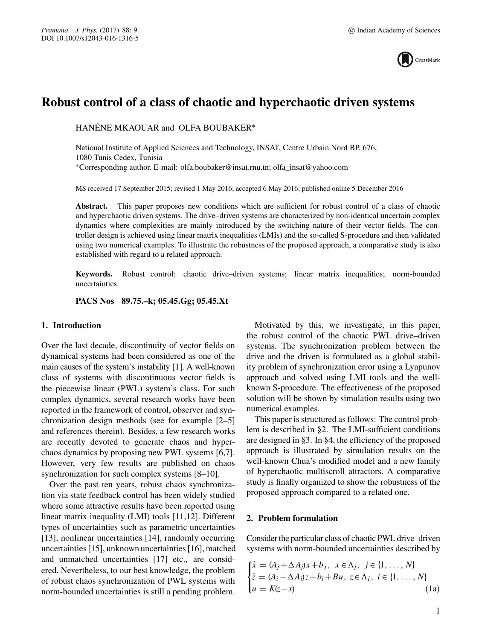

# **Robust control of a class of chaotic and hyperchaotic driven systems**

HANÉNE MKAOUAR and OLFA BOUBAKER∗

National Institute of Applied Sciences and Technology, INSAT, Centre Urbain Nord BP. 676, 1080 Tunis Cedex, Tunisia ∗Corresponding author. E-mail: olfa.boubaker@insat.rnu.tn; olfa\_insat@yahoo.com

MS received 17 September 2015; revised 1 May 2016; accepted 6 May 2016; published online 5 December 2016

**Abstract.** This paper proposes new conditions which are sufficient for robust control of a class of chaotic and hyperchaotic driven systems. The drive–driven systems are characterized by non-identical uncertain complex dynamics where complexities are mainly introduced by the switching nature of their vector fields. The controller design is achieved using linear matrix inequalities (LMIs) and the so-called S-procedure and then validated using two numerical examples. To illustrate the robustness of the proposed approach, a comparative study is also established with regard to a related approach.

**Keywords.** Robust control; chaotic drive–driven systems; linear matrix inequalities; norm-bounded uncertainties.

**PACS Nos 89.75.–k; 05.45.Gg; 05.45.Xt**

# **1. Introduction**

Over the last decade, discontinuity of vector fields on dynamical systems had been considered as one of the main causes of the system's instability [1]. A well-known class of systems with discontinuous vector fields is the piecewise linear (PWL) system's class. For such complex dynamics, several research works have been reported in the framework of control, observer and synchronization design methods (see for example [2–5] and references therein). Besides, a few research works are recently devoted to generate chaos and hyperchaos dynamics by proposing new PWL systems [6,7]. However, very few results are published on chaos synchronization for such complex systems [8–10].

Over the past ten years, robust chaos synchronization via state feedback control has been widely studied where some attractive results have been reported using linear matrix inequality (LMI) tools [11,12]. Different types of uncertainties such as parametric uncertainties [13], nonlinear uncertainties [14], randomly occurring uncertainties [15], unknown uncertainties [16], matched and unmatched uncertainties [17] etc., are considered. Nevertheless, to our best knowledge, the problem of robust chaos synchronization of PWL systems with norm-bounded uncertainties is still a pending problem.

Motivated by this, we investigate, in this paper, the robust control of the chaotic PWL drive–driven systems. The synchronization problem between the drive and the driven is formulated as a global stability problem of synchronization error using a Lyapunov approach and solved using LMI tools and the wellknown S-procedure. The effectiveness of the proposed solution will be shown by simulation results using two numerical examples.

This paper is structured as follows: The control problem is described in §2. The LMI-sufficient conditions are designed in §3. In §4, the efficiency of the proposed approach is illustrated by simulation results on the well-known Chua's modified model and a new family of hyperchaotic multiscroll attractors. A comparative study is finally organized to show the robustness of the proposed approach compared to a related one.

#### **2. Problem formulation**

Consider the particular class of chaotic PWL drive–driven systems with norm-bounded uncertainties described by

$$
\begin{cases}\n\dot{x} = (A_j + \Delta A_j)x + b_j, & x \in \Lambda_j, j \in \{1, \dots, N\} \\
\dot{z} = (A_i + \Delta A_i)z + b_i + Bu, & z \in \Lambda_i, i \in \{1, \dots, N\} \\
u = K(z - x)\n\end{cases}
$$
\n(1a)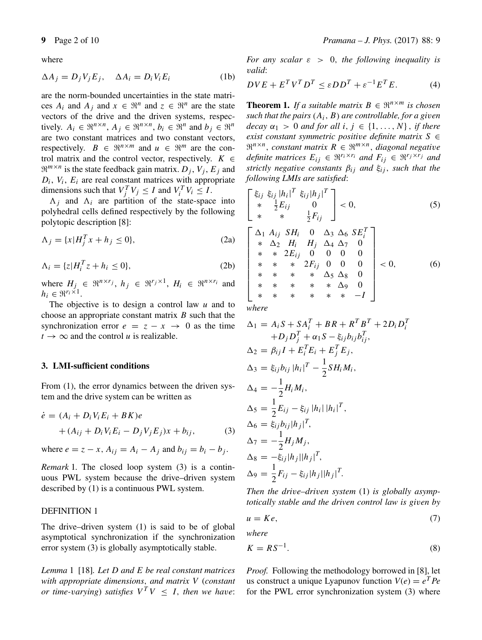where

$$
\Delta A_j = D_j V_j E_j, \quad \Delta A_i = D_i V_i E_i \tag{1b}
$$

are the norm-bounded uncertainties in the state matrices  $A_i$  and  $A_j$  and  $x \in \mathbb{R}^n$  and  $z \in \mathbb{R}^n$  are the state vectors of the drive and the driven systems, respectively.  $A_i \in \mathbb{R}^{n \times n}$ ,  $A_j \in \mathbb{R}^{n \times n}$ ,  $b_i \in \mathbb{R}^n$  and  $b_j \in \mathbb{R}^n$ are two constant matrices and two constant vectors, respectively.  $B \in \mathbb{R}^{n \times m}$  and  $u \in \mathbb{R}^m$  are the control matrix and the control vector, respectively.  $K \in$  $\mathfrak{R}^{m \times n}$  is the state feedback gain matrix.  $D_i$ ,  $V_i$ ,  $E_i$  and  $D_i$ ,  $V_i$ ,  $E_i$  are real constant matrices with appropriate dimensions such that  $V_j^T V_j \leq I$  and  $V_i^T V_i \leq I$ .

 $\Lambda_i$  and  $\Lambda_i$  are partition of the state-space into polyhedral cells defined respectively by the following polytopic description [8]:

$$
\Lambda_j = \{x | H_j^T x + h_j \le 0\},\tag{2a}
$$

$$
\Lambda_i = \{z | H_i^T z + h_i \le 0\},\tag{2b}
$$

where  $H_j \in \mathbb{R}^{n \times r_j}$ ,  $h_j \in \mathbb{R}^{r_j \times 1}$ ,  $H_i \in \mathbb{R}^{n \times r_i}$  and  $h_i \in \Re^{r_i \times 1}$ .

The objective is to design a control law  $u$  and to choose an appropriate constant matrix  $B$  such that the synchronization error  $e = z - x \rightarrow 0$  as the time  $t \rightarrow \infty$  and the control *u* is realizable.

### **3. LMI-sufficient conditions**

From  $(1)$ , the error dynamics between the driven system and the drive system can be written as

$$
\dot{e} = (A_i + D_i V_i E_i + BK)e
$$
  
+ 
$$
(A_{ij} + D_i V_i E_i - D_j V_j E_j)x + b_{ij},
$$
 (3)

where  $e = z - x$ ,  $A_{ij} = A_i - A_j$  and  $b_{ij} = b_i - b_j$ .

*Remark* 1*.* The closed loop system (3) is a continuous PWL system because the drive–driven system described by (1) is a continuous PWL system.

## DEFINITION 1

The drive–driven system (1) is said to be of global asymptotical synchronization if the synchronization error system (3) is globally asymptotically stable.

*Lemma* 1 [18]*. Let* D *and* E *be real constant matrices with appropriate dimensions*, *and matrix* V (*constant or time-varying*) *satisfies*  $V^T V \leq I$ *, then we have:*  *For any scalar* ε > 0, *the following inequality is* v*alid*:

$$
DVE + E^T V^T D^T \le \varepsilon D D^T + \varepsilon^{-1} E^T E. \tag{4}
$$

**Theorem 1.** *If a suitable matrix*  $B \in \mathbb{R}^{n \times m}$  *is chosen such that the pairs* (Ai, B) *are controllable, for a gi*v*en decay*  $\alpha_1 > 0$  *and for all*  $i, j \in \{1, ..., N\}$ , *if there exist constant symmetric positi*v*e definite matrix* S ∈  $\mathbb{R}^{n \times n}$ , *constant matrix*  $R \in \mathbb{R}^{m \times n}$ , *diagonal negative definite matrices*  $E_{ij} \in \Re^{r_i \times r_i}$  *and*  $F_{ij} \in \Re^{r_j \times r_j}$  *and strictly negative constants*  $\beta_{ij}$  *and*  $\xi_{ij}$ *, such that the following LMIs are satisfied*:

$$
\begin{bmatrix}\n\xi_{ij} & \xi_{ij} |h_i|^T & \xi_{ij} |h_j|^T \\
* & \frac{1}{2} E_{ij} & 0 \\
* & * & \frac{1}{2} F_{ij}\n\end{bmatrix} < 0,\n\tag{5}
$$
\n
$$
\begin{bmatrix}\n\Delta_1 & A_{ij} & S H_i & 0 & \Delta_3 & \Delta_6 & S E_i^T \\
* & \Delta_2 & H_i & H_j & \Delta_4 & \Delta_7 & 0 \\
* & \Delta_2 & H_i & H_j & \Delta_4 & \Delta_7 & 0\n\end{bmatrix}
$$

$$
\begin{bmatrix}\n* & \Delta_2 & H_i & H_j & \Delta_4 & \Delta_7 & 0 \\
* & * & 2E_{ij} & 0 & 0 & 0 & 0 \\
* & * & * & 2F_{ij} & 0 & 0 & 0 \\
* & * & * & * & \Delta_5 & \Delta_8 & 0 \\
* & * & * & * & * & \Delta_9 & 0 \\
* & * & * & * & * & * & -I\n\end{bmatrix}
$$
\n(6)

*where*

$$
\Delta_{1} = A_{i}S + SA_{i}^{T} + BR + R^{T}B^{T} + 2D_{i}D_{i}^{T}
$$
  
\n
$$
+ D_{j}D_{j}^{T} + \alpha_{1}S - \xi_{ij}b_{ij}b_{ij}^{T},
$$
  
\n
$$
\Delta_{2} = \beta_{ij}I + E_{i}^{T}E_{i} + E_{j}^{T}E_{j},
$$
  
\n
$$
\Delta_{3} = \xi_{ij}b_{ij} |h_{i}|^{T} - \frac{1}{2}SH_{i}M_{i},
$$
  
\n
$$
\Delta_{4} = -\frac{1}{2}H_{i}M_{i},
$$
  
\n
$$
\Delta_{5} = \frac{1}{2}E_{ij} - \xi_{ij} |h_{i}| |h_{i}|^{T},
$$
  
\n
$$
\Delta_{6} = \xi_{ij}b_{ij}|h_{j}|^{T},
$$
  
\n
$$
\Delta_{7} = -\frac{1}{2}H_{j}M_{j},
$$
  
\n
$$
\Delta_{8} = -\xi_{ij}|h_{j}| |h_{j}|^{T},
$$
  
\n
$$
\Delta_{9} = \frac{1}{2}F_{ij} - \xi_{ij}|h_{j}| |h_{j}|^{T}.
$$

*Then the dri*v*e–dri*v*en system* (1) *is globally asymptotically stable and the driven control law is gi*v*en by*

$$
u = Ke,\tag{7}
$$

*where*

$$
K = RS^{-1}.\tag{8}
$$

*Proof.* Following the methodology borrowed in [8], let us construct a unique Lyapunov function  $V(e) = e^T Pe$ for the PWL error synchronization system (3) where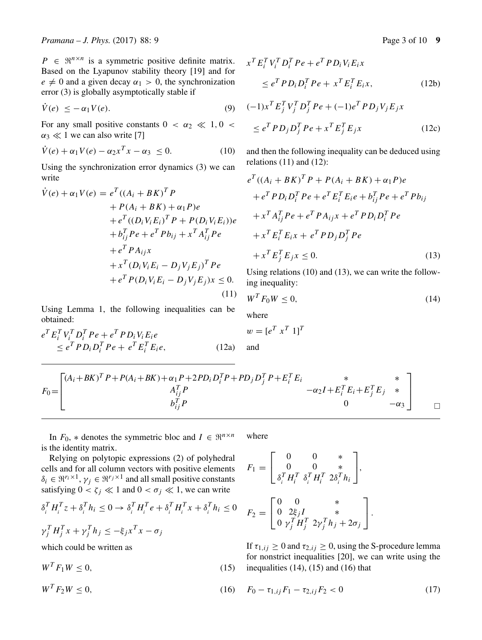$P \in \mathbb{R}^{n \times n}$  is a symmetric positive definite matrix. Based on the Lyapunov stability theory [19] and for  $e \neq 0$  and a given decay  $\alpha_1 > 0$ , the synchronization error (3) is globally asymptotically stable if

$$
V(e) \le -\alpha_1 V(e). \tag{9}
$$

For any small positive constants  $0 < \alpha_2 \ll 1, 0 <$  $\alpha_3 \ll 1$  we can also write [7]

$$
\dot{V}(e) + \alpha_1 V(e) - \alpha_2 x^T x - \alpha_3 \le 0. \tag{10}
$$

Using the synchronization error dynamics (3) we can write

$$
\dot{V}(e) + \alpha_1 V(e) = e^T ((A_i + BK)^T P \n+ P(A_i + BK) + \alpha_1 P)e \n+ e^T ((D_i V_i E_i)^T P + P(D_i V_i E_i))e \n+ b_{ij}^T P e + e^T P b_{ij} + x^T A_{ij}^T P e \n+ e^T P A_{ij} x \n+ x^T (D_i V_i E_i - D_j V_j E_j)^T P e \n+ e^T P (D_i V_i E_i - D_j V_j E_j) x \le 0.
$$
\n(11)

Using Lemma 1, the following inequalities can be obtained:

$$
eT EiT ViT DiT Pe + eT PDi Vi Eie
$$
  
\n
$$
\leq eT PDi DiT Pe + eT EiT Eie,
$$
\n(12a)

$$
xT EiT ViT DiT Pe + eT PDi Vi Eix
$$
  
\n
$$
\leq eT PDi DiT Pe + xT EiT Eix,
$$
\n(12b)

$$
(-1)xT EjT VjT DjT Pe + (-1)eT PDj Vj Ejx
$$
  
\n
$$
\leq eT PDj DjT Pe + xT EjT Ejx
$$
\n(12c)

and then the following inequality can be deduced using relations  $(11)$  and  $(12)$ :

$$
e^{T}((A_i + BK)^{T}P + P(A_i + BK) + \alpha_1 P)e
$$
  
+  $e^{T}PD_iD_i^{T}Pe + e^{T}E_i^{T}E_ie + b_{ij}^{T}Pe + e^{T}Pb_{ij}$   
+  $x^{T}A_{ij}^{T}Pe + e^{T}PA_{ij}x + e^{T}PD_iD_i^{T}Pe$   
+  $x^{T}E_i^{T}E_ix + e^{T}PD_jD_j^{T}Pe$   
+  $x^{T}E_j^{T}E_jx \le 0.$  (13)

Using relations (10) and (13), we can write the following inequality:

$$
W^T F_0 W \le 0,\t\t(14)
$$

where

$$
w = [e^T x^T 1]^T
$$
  
and

$$
F_0 = \begin{bmatrix} (A_i + BK)^T P + P(A_i + BK) + \alpha_1 P + 2PD_i D_i^T P + PD_j D_j^T P + E_i^T E_i & * & * \\ A_{ij}^T P & -\alpha_2 I + E_i^T E_i + E_j^T E_j & * \\ b_{ij}^T P & 0 & -\alpha_3 \end{bmatrix}
$$

In  $F_0$ , \* denotes the symmetric bloc and  $I \in \mathbb{R}^{n \times n}$ is the identity matrix. where

Relying on polytopic expressions (2) of polyhedral cells and for all column vectors with positive elements  $\delta_i \in \mathbb{R}^{r_i \times 1}$ ,  $\gamma_i \in \mathbb{R}^{r_j \times 1}$  and all small positive constants satisfying  $0 < \zeta_j \ll 1$  and  $0 < \sigma_j \ll 1$ , we can write

$$
\delta_i^T H_i^T z + \delta_i^T h_i \le 0 \to \delta_i^T H_i^T e + \delta_i^T H_i^T x + \delta_i^T h_i \le 0
$$
  

$$
\gamma_j^T H_j^T x + \gamma_j^T h_j \le -\xi_j x^T x - \sigma_j
$$

which could be written as

 $W^T F_1 W \le 0,$  (15)

 $W^T F_2 W \le 0,$  (16)

$$
F_1 = \begin{bmatrix} 0 & 0 & * \\ 0 & 0 & * \\ \delta_i^T H_i^T \ \delta_i^T H_i^T \ 2\delta_i^T h_i \end{bmatrix}
$$

$$
F_2 = \begin{bmatrix} 0 & 0 & * \\ 0 & 2\xi_j I & * \\ 0 & \gamma_j^T H_j^T & 2\gamma_j^T h_j + 2\sigma_j \end{bmatrix}.
$$

If  $\tau_{1,ij} \geq 0$  and  $\tau_{2,ij} \geq 0$ , using the S-procedure lemma for nonstrict inequalities [20], we can write using the inequalities  $(14)$ ,  $(15)$  and  $(16)$  that

⎤  $\vert$ ,

$$
F_0 - \tau_{1,ij} F_1 - \tau_{2,ij} F_2 < 0 \tag{17}
$$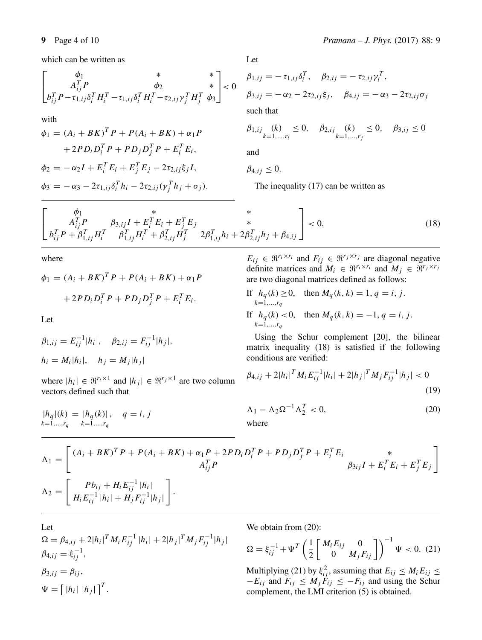which can be written as

$$
\begin{bmatrix} \phi_1 & * & * \\ A_{ij}^T P & \phi_2 & * \\ b_{ij}^T P - \tau_{1,ij} \delta_i^T H_i^T - \tau_{1,ij} \delta_i^T H_i^T - \tau_{2,ij} \gamma_j^T H_j^T \phi_3 \end{bmatrix} < 0
$$

with

$$
\phi_1 = (A_i + BK)^T P + P(A_i + BK) + \alpha_1 P + 2PD_i D_i^T P + PD_j D_j^T P + E_i^T E_i, \n\phi_2 = -\alpha_2 I + E_i^T E_i + E_j^T E_j - 2\tau_{2,ij}\xi_j I, \n\phi_3 = -\alpha_3 - 2\tau_{1,ij}\delta_i^T h_i - 2\tau_{2,ij}(\gamma_j^T h_j + \sigma_j).
$$

Let

$$
\beta_{1,ij} = -\tau_{1,ij}\delta_i^T, \quad \beta_{2,ij} = -\tau_{2,ij}\gamma_i^T,
$$
  
\n
$$
\beta_{3,ij} = -\alpha_2 - 2\tau_{2,ij}\xi_j, \quad \beta_{4,ij} = -\alpha_3 - 2\tau_{2,ij}\sigma_j
$$
  
\nsuch that  
\n
$$
\beta_{1,ij} \quad (k) \le 0, \quad \beta_{2,ij} \quad (k) \le 0, \quad \beta_{3,ij} \le 0
$$

 $k=1,\ldots,r_j$ 

and

$$
\beta_{4,ij}\leq 0.
$$

 $k=1,\ldots,r_i$ 

The inequality (17) can be written as

$$
\begin{bmatrix}\n\phi_1 & * & * \\
A_{ij}^T P & \beta_{3,ij} I + E_i^T E_i + E_j^T E_j & * \\
b_{ij}^T P + \beta_{1,ij}^T H_i^T & \beta_{1,ij}^T H_i^T + \beta_{2,ij}^T H_j^T & 2\beta_{1,ij}^T h_i + 2\beta_{2,ij}^T h_j + \beta_{4,ij}\n\end{bmatrix} < 0,
$$
\n(18)

where

$$
\phi_1 = (A_i + BK)^T P + P(A_i + BK) + \alpha_1 P
$$

$$
+ 2PD_i D_i^T P + PD_j D_j^T P + E_i^T E_i.
$$

Let

$$
\beta_{1,ij} = E_{ij}^{-1} |h_i|, \quad \beta_{2,ij} = F_{ij}^{-1} |h_j|,
$$
  

$$
h_i = M_i |h_i|, \quad h_j = M_j |h_j|
$$

where  $|h_i| \in \Re^{r_i \times 1}$  and  $|h_j| \in \Re^{r_j \times 1}$  are two column vectors defined such that

$$
|h_q|(k) = |h_q(k)|, \quad q = i, j
$$
  

$$
k=1,...,r_q, k=1,...,r_q
$$

$$
E_{ij} \in \mathbb{R}^{r_i \times r_i}
$$
 and  $F_{ij} \in \mathbb{R}^{r_j \times r_j}$  are diagonal negative definite matrices and  $M_i \in \mathbb{R}^{r_i \times r_i}$  and  $M_j \in \mathbb{R}^{r_j \times r_j}$  are two diagonal matrices defined as follows:

If 
$$
h_q(k) \ge 0
$$
, then  $M_q(k, k) = 1, q = i, j$ .  
\nIf  $h_q(k) < 0$ , then  $M_q(k, k) = -1, q = i, j$ .  
\n $k=1,...,r_q$ 

Using the Schur complement [20], the bilinear matrix inequality (18) is satisfied if the following conditions are verified:

$$
\beta_{4,ij} + 2|h_i|^T M_i E_{ij}^{-1} |h_i| + 2|h_j|^T M_j F_{ij}^{-1} |h_j| < 0 \tag{19}
$$

$$
\Lambda_1 - \Lambda_2 \Omega^{-1} \Lambda_2^T < 0,\tag{20}
$$

where

$$
\Lambda_{1} = \begin{bmatrix} (A_{i} + BK)^{T} P + P(A_{i} + BK) + \alpha_{1} P + 2 P D_{i} D_{i}^{T} P + P D_{j} D_{j}^{T} P + E_{i}^{T} E_{i} & * \\ A_{i j}^{T} P & \beta_{3 i j} I + E_{i}^{T} E_{i} + E_{j}^{T} E_{j} \end{bmatrix}
$$
  
\n
$$
\Lambda_{2} = \begin{bmatrix} P b_{ij} + H_{i} E_{ij}^{-1} |h_{i}| \\ H_{i} E_{ij}^{-1} |h_{i}| + H_{j} F_{ij}^{-1} |h_{j}| \end{bmatrix}.
$$

Let  
\n
$$
\Omega = \beta_{4,ij} + 2|h_i|^T M_i E_{ij}^{-1} |h_i| + 2|h_j|^T M_j F_{ij}^{-1} |h_j|
$$
\n
$$
\beta_{4,ij} = \xi_{ij}^{-1},
$$
\n
$$
\beta_{3,ij} = \beta_{ij},
$$
\n
$$
\Psi = \begin{bmatrix} |h_i| |h_j| \end{bmatrix}^T.
$$

We obtain from (20):

$$
\Omega = \xi_{ij}^{-1} + \Psi^T \left( \frac{1}{2} \begin{bmatrix} M_i E_{ij} & 0 \\ 0 & M_j F_{ij} \end{bmatrix} \right)^{-1} \Psi < 0. \tag{21}
$$

Multiplying (21) by  $\xi_{ij}^2$ , assuming that  $E_{ij} \leq M_i E_{ij} \leq$  $-E_{ij}$  and  $F_{ij} \leq M_j \dot{F}_{ij} \leq -F_{ij}$  and using the Schur complement, the LMI criterion (5) is obtained.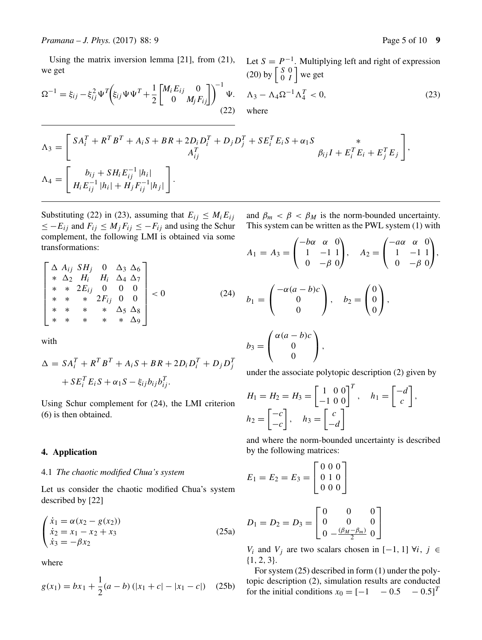Using the matrix inversion lemma [21], from (21), we get

Let  $S = P^{-1}$ . Multiplying left and right of expression (20) by  $\begin{bmatrix} S & 0 \\ 0 & I \end{bmatrix}$  we get

$$
\Omega^{-1} = \xi_{ij} - \xi_{ij}^2 \Psi^T \bigg( \xi_{ij} \Psi \Psi^T + \frac{1}{2} \begin{bmatrix} M_i E_{ij} & 0 \\ 0 & M_j F_{ij} \end{bmatrix} \bigg)^{-1} \Psi. \quad \Lambda_3 - \Lambda_4 \Omega^{-1} \Lambda_4^T < 0,
$$
\n(23)

$$
\Lambda_3 = \begin{bmatrix} SA_i^T + R^T B^T + A_i S + BR + 2D_i D_i^T + D_j D_j^T + SE_i^T E_i S + \alpha_1 S & * \\ A_{ij}^T & \beta_{ij} I + E_i^T E_i + E_j^T E_j \end{bmatrix},
$$
  
\n
$$
\Lambda_4 = \begin{bmatrix} b_{ij} + SH_i E_{ij}^{-1} |h_i| \\ H_i E_{ij}^{-1} |h_i| + H_j F_{ij}^{-1} |h_j| \end{bmatrix}.
$$

Substituting (22) in (23), assuming that  $E_{ij} \leq M_i E_{ij}$  $\leq -E_{ij}$  and  $F_{ij} \leq M_j F_{ij} \leq -F_{ij}$  and using the Schur complement, the following LMI is obtained via some transformations:

$$
\begin{bmatrix}\n\Delta & A_{ij} & SH_j & 0 & \Delta_3 & \Delta_6 \\
* & \Delta_2 & H_i & H_i & \Delta_4 & \Delta_7 \\
* & * & 2E_{ij} & 0 & 0 & 0 \\
* & * & * & 2F_{ij} & 0 & 0 \\
* & * & * & * & \Delta_5 & \Delta_8 \\
* & * & * & * & * & \Delta_9\n\end{bmatrix} < 0
$$
\n(24)

with

$$
\Delta = SA_i^T + R^T B^T + A_i S + BR + 2D_i D_i^T + D_j D_j^T
$$
  
+ SE\_i^T E\_i S + \alpha\_1 S - \xi\_{ij} b\_{ij} b\_{ij}^T.

Using Schur complement for (24), the LMI criterion (6) is then obtained.

#### **4. Application**

## 4.1 *The chaotic modified Chua's system*

Let us consider the chaotic modified Chua's system described by [22]

$$
\begin{cases}\n\dot{x}_1 = \alpha(x_2 - g(x_2)) \\
\dot{x}_2 = x_1 - x_2 + x_3 \\
\dot{x}_3 = -\beta x_2\n\end{cases}
$$
\n(25a)

where

$$
g(x_1) = bx_1 + \frac{1}{2}(a - b) (|x_1 + c| - |x_1 - c|)
$$
 (25b)

and  $\beta_m < \beta < \beta_M$  is the norm-bounded uncertainty. This system can be written as the PWL system (1) with

$$
A_1 = A_3 = \begin{pmatrix} -b\alpha & \alpha & 0 \\ 1 & -1 & 1 \\ 0 & -\beta & 0 \end{pmatrix}, \quad A_2 = \begin{pmatrix} -a\alpha & \alpha & 0 \\ 1 & -1 & 1 \\ 0 & -\beta & 0 \end{pmatrix},
$$

$$
b_1 = \begin{pmatrix} -\alpha(a-b)c \\ 0 \\ 0 \end{pmatrix}, \quad b_2 = \begin{pmatrix} 0 \\ 0 \\ 0 \end{pmatrix},
$$

$$
b_3 = \begin{pmatrix} \alpha(a-b)c \\ 0 \\ 0 \end{pmatrix},
$$

under the associate polytopic description (2) given by

$$
H_1 = H_2 = H_3 = \begin{bmatrix} 1 & 0 & 0 \\ -1 & 0 & 0 \end{bmatrix}^T, \quad h_1 = \begin{bmatrix} -d \\ c \end{bmatrix},
$$

$$
h_2 = \begin{bmatrix} -c \\ -c \end{bmatrix}, \quad h_3 = \begin{bmatrix} c \\ -d \end{bmatrix}
$$

and where the norm-bounded uncertainty is described by the following matrices:

$$
E_1 = E_2 = E_3 = \begin{bmatrix} 0 & 0 & 0 \\ 0 & 1 & 0 \\ 0 & 0 & 0 \end{bmatrix}
$$

$$
D_1 = D_2 = D_3 = \begin{bmatrix} 0 & 0 & 0 \\ 0 & 0 & 0 \\ 0 & -\frac{(\beta_M - \beta_m)}{2} & 0 \end{bmatrix}
$$

 $V_i$  and  $V_j$  are two scalars chosen in [−1, 1]  $\forall i, j \in$ {1, 2, 3}.

For system (25) described in form (1) under the polytopic description (2), simulation results are conducted for the initial conditions  $x_0 = \begin{bmatrix} -1 & -0.5 & -0.5 \end{bmatrix}^T$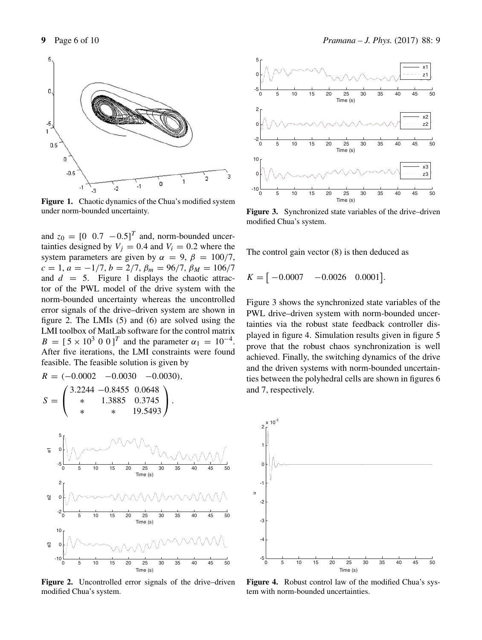

Figure 1. Chaotic dynamics of the Chua's modified system under norm-bounded uncertainty.

and  $z_0 = \begin{bmatrix} 0 & 0.7 & -0.5 \end{bmatrix}^T$  and, norm-bounded uncertainties designed by  $V_j = 0.4$  and  $V_i = 0.2$  where the system parameters are given by  $\alpha = 9$ ,  $\beta = 100/7$ ,  $c = 1, a = -1/7, b = 2/7, \beta_m = 96/7, \beta_M = 106/7$ and  $d = 5$ . Figure 1 displays the chaotic attractor of the PWL model of the drive system with the norm-bounded uncertainty whereas the uncontrolled error signals of the drive–driven system are shown in figure 2. The LMIs (5) and (6) are solved using the LMI toolbox of MatLab software for the control matrix  $B = [5 \times 10^3 \ 0 \ 0]^T$  and the parameter  $\alpha_1 = 10^{-4}$ . After five iterations, the LMI constraints were found feasible. The feasible solution is given by

R = (−0.0002 −0.0030 −0.0030), S = ⎛ ⎝ 3.2244 −0.8455 0.0648 ∗ 1.3885 0.3745 ∗ ∗ 19.5493 ⎞ ⎠ . <sup>0</sup> <sup>5</sup> <sup>10</sup> <sup>15</sup> <sup>20</sup> <sup>25</sup> <sup>30</sup> <sup>35</sup> <sup>40</sup> <sup>45</sup> <sup>50</sup> -5 0 5 Time (s) e1 <sup>0</sup> <sup>5</sup> <sup>10</sup> <sup>15</sup> <sup>20</sup> <sup>25</sup> <sup>30</sup> <sup>35</sup> <sup>40</sup> <sup>45</sup> <sup>50</sup> -2 0 2 Time (s) e2 0 10 e3

**Figure 2.** Uncontrolled error signals of the drive–driven modified Chua's system.

<sup>0</sup> <sup>5</sup> <sup>10</sup> <sup>15</sup> <sup>20</sup> <sup>25</sup> <sup>30</sup> <sup>35</sup> <sup>40</sup> <sup>45</sup> <sup>50</sup> -10

Time (s)



**Figure 3.** Synchronized state variables of the drive–driven modified Chua's system.

The control gain vector (8) is then deduced as

$$
K = [-0.0007 \quad -0.0026 \quad 0.0001].
$$

Figure 3 shows the synchronized state variables of the PWL drive–driven system with norm-bounded uncertainties via the robust state feedback controller displayed in figure 4. Simulation results given in figure 5 prove that the robust chaos synchronization is well achieved. Finally, the switching dynamics of the drive and the driven systems with norm-bounded uncertainties between the polyhedral cells are shown in figures 6 and 7, respectively.



Figure 4. Robust control law of the modified Chua's system with norm-bounded uncertainties.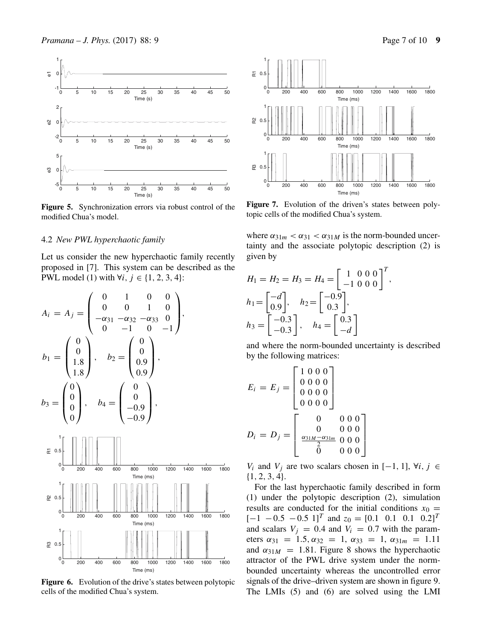

**Figure 5.** Synchronization errors via robust control of the modified Chua's model.

Time (s)

# 4.2 *New PWL hyperchaotic family*

Let us consider the new hyperchaotic family recently proposed in [7]. This system can be described as the PWL model (1) with  $\forall i, j \in \{1, 2, 3, 4\}$ :



**Figure 6.** Evolution of the drive's states between polytopic cells of the modified Chua's system.



Figure 7. Evolution of the driven's states between polytopic cells of the modified Chua's system.

where  $\alpha_{31m} < \alpha_{31} < \alpha_{31M}$  is the norm-bounded uncertainty and the associate polytopic description (2) is given by

$$
H_1 = H_2 = H_3 = H_4 = \begin{bmatrix} 1 & 0 & 0 & 0 \\ -1 & 0 & 0 & 0 \end{bmatrix}^T,
$$
  
\n
$$
h_1 = \begin{bmatrix} -d \\ 0.9 \end{bmatrix}, \quad h_2 = \begin{bmatrix} -0.9 \\ 0.3 \end{bmatrix},
$$
  
\n
$$
h_3 = \begin{bmatrix} -0.3 \\ -0.3 \end{bmatrix}, \quad h_4 = \begin{bmatrix} 0.3 \\ -d \end{bmatrix}
$$

and where the norm-bounded uncertainty is described by the following matrices:

$$
E_i = E_j = \begin{bmatrix} 1 & 0 & 0 & 0 \\ 0 & 0 & 0 & 0 \\ 0 & 0 & 0 & 0 \\ 0 & 0 & 0 & 0 \end{bmatrix}
$$

$$
D_i = D_j = \begin{bmatrix} 0 & 0 & 0 & 0 \\ 0 & 0 & 0 & 0 \\ 0 & 0 & 0 & 0 \\ \frac{\alpha_{31M} - \alpha_{31m}}{0} & 0 & 0 & 0 \\ 0 & 0 & 0 & 0 \end{bmatrix}
$$

 $V_i$  and  $V_j$  are two scalars chosen in [−1, 1],  $\forall i, j \in$ {1, 2, 3, 4}.

For the last hyperchaotic family described in form (1) under the polytopic description (2), simulation results are conducted for the initial conditions  $x_0 =$  $[-1 \ -0.5 \ -0.5 \ 1]^T$  and  $z_0 = [0.1 \ 0.1 \ 0.1 \ 0.2]^T$ and scalars  $V_j = 0.4$  and  $V_i = 0.7$  with the parameters  $\alpha_{31} = 1.5, \alpha_{32} = 1, \alpha_{33} = 1, \alpha_{31m} = 1.11$ and  $\alpha_{31M} = 1.81$ . Figure 8 shows the hyperchaotic attractor of the PWL drive system under the normbounded uncertainty whereas the uncontrolled error signals of the drive–driven system are shown in figure 9. The LMIs (5) and (6) are solved using the LMI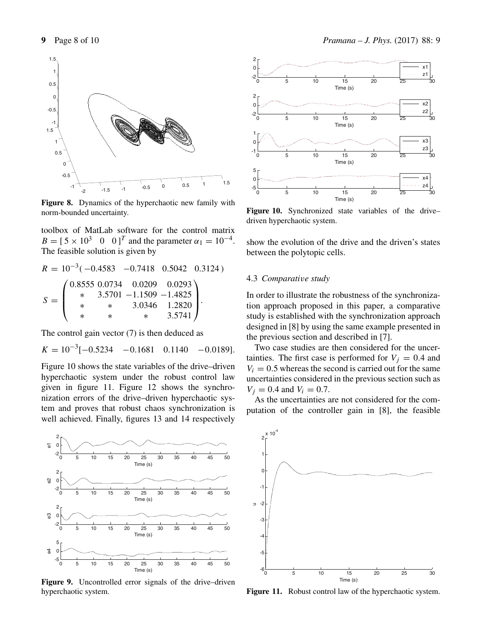

**Figure 8.** Dynamics of the hyperchaotic new family with norm-bounded uncertainty.

toolbox of MatLab software for the control matrix  $B = [5 \times 10^3 \ 0 \ 0]^T$  and the parameter  $\alpha_1 = 10^{-4}$ . The feasible solution is given by

$$
R = 10^{-3}(-0.4583 - 0.7418 \quad 0.5042 \quad 0.3124)
$$
  

$$
S = \begin{pmatrix} 0.8555 & 0.0734 & 0.0209 & 0.0293 \\ * & 3.5701 & -1.1509 & -1.4825 \\ * & * & 3.0346 & 1.2820 \\ * & * & * & 3.5741 \end{pmatrix}.
$$

The control gain vector (7) is then deduced as

$$
K = 10^{-3}[-0.5234 \quad -0.1681 \quad 0.1140 \quad -0.0189].
$$

Figure 10 shows the state variables of the drive–driven hyperchaotic system under the robust control law given in figure 11. Figure 12 shows the synchronization errors of the drive–driven hyperchaotic system and proves that robust chaos synchronization is well achieved. Finally, figures 13 and 14 respectively



**Figure 9.** Uncontrolled error signals of the drive–driven hyperchaotic system.





**Figure 10.** Synchronized state variables of the drive– driven hyperchaotic system.

show the evolution of the drive and the driven's states between the polytopic cells.

## 4.3 *Comparati*v*e study*

In order to illustrate the robustness of the synchronization approach proposed in this paper, a comparative study is established with the synchronization approach designed in [8] by using the same example presented in the previous section and described in [7].

Two case studies are then considered for the uncertainties. The first case is performed for  $V_i = 0.4$  and  $V_i = 0.5$  whereas the second is carried out for the same uncertainties considered in the previous section such as  $V_i = 0.4$  and  $V_i = 0.7$ .

As the uncertainties are not considered for the computation of the controller gain in [8], the feasible



**Figure 11.** Robust control law of the hyperchaotic system.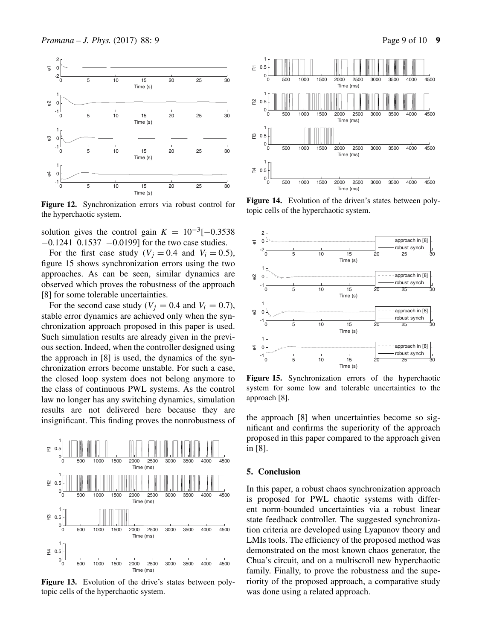

**Figure 12.** Synchronization errors via robust control for the hyperchaotic system.

solution gives the control gain  $K = 10^{-3}[-0.3538]$ −0.1241 0.1537 −0.0199] for the two case studies.

For the first case study ( $V_i = 0.4$  and  $V_i = 0.5$ ), figure 15 shows synchronization errors using the two approaches. As can be seen, similar dynamics are observed which proves the robustness of the approach [8] for some tolerable uncertainties.

For the second case study ( $V_i = 0.4$  and  $V_i = 0.7$ ), stable error dynamics are achieved only when the synchronization approach proposed in this paper is used. Such simulation results are already given in the previous section. Indeed, when the controller designed using the approach in [8] is used, the dynamics of the synchronization errors become unstable. For such a case, the closed loop system does not belong anymore to the class of continuous PWL systems. As the control law no longer has any switching dynamics, simulation results are not delivered here because they are insignificant. This finding proves the nonrobustness of



**Figure 13.** Evolution of the drive's states between polytopic cells of the hyperchaotic system.



**Figure 14.** Evolution of the driven's states between polytopic cells of the hyperchaotic system.



**Figure 15.** Synchronization errors of the hyperchaotic system for some low and tolerable uncertainties to the approach [8].

the approach [8] when uncertainties become so significant and confirms the superiority of the approach proposed in this paper compared to the approach given in [8].

## **5. Conclusion**

In this paper, a robust chaos synchronization approach is proposed for PWL chaotic systems with different norm-bounded uncertainties via a robust linear state feedback controller. The suggested synchronization criteria are developed using Lyapunov theory and LMIs tools. The efficiency of the proposed method was demonstrated on the most known chaos generator, the Chua's circuit, and on a multiscroll new hyperchaotic family. Finally, to prove the robustness and the superiority of the proposed approach, a comparative study was done using a related approach.